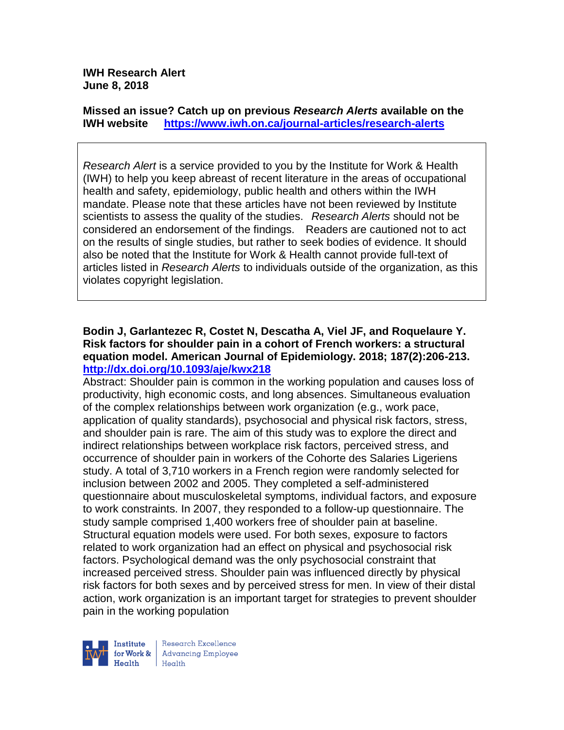#### **Missed an issue? Catch up on previous** *Research Alerts* **available on the [IWH website](http://www.iwh.on.ca/research-alerts) <https://www.iwh.on.ca/journal-articles/research-alerts>**

*Research Alert* is a service provided to you by the Institute for Work & Health (IWH) to help you keep abreast of recent literature in the areas of occupational health and safety, epidemiology, public health and others within the IWH mandate. Please note that these articles have not been reviewed by Institute scientists to assess the quality of the studies. *Research Alerts* should not be considered an endorsement of the findings. Readers are cautioned not to act on the results of single studies, but rather to seek bodies of evidence. It should also be noted that the Institute for Work & Health cannot provide full-text of articles listed in *Research Alerts* to individuals outside of the organization, as this violates copyright legislation.

# **Bodin J, Garlantezec R, Costet N, Descatha A, Viel JF, and Roquelaure Y. Risk factors for shoulder pain in a cohort of French workers: a structural equation model. American Journal of Epidemiology. 2018; 187(2):206-213. <http://dx.doi.org/10.1093/aje/kwx218>**

Abstract: Shoulder pain is common in the working population and causes loss of productivity, high economic costs, and long absences. Simultaneous evaluation of the complex relationships between work organization (e.g., work pace, application of quality standards), psychosocial and physical risk factors, stress, and shoulder pain is rare. The aim of this study was to explore the direct and indirect relationships between workplace risk factors, perceived stress, and occurrence of shoulder pain in workers of the Cohorte des Salaries Ligeriens study. A total of 3,710 workers in a French region were randomly selected for inclusion between 2002 and 2005. They completed a self-administered questionnaire about musculoskeletal symptoms, individual factors, and exposure to work constraints. In 2007, they responded to a follow-up questionnaire. The study sample comprised 1,400 workers free of shoulder pain at baseline. Structural equation models were used. For both sexes, exposure to factors related to work organization had an effect on physical and psychosocial risk factors. Psychological demand was the only psychosocial constraint that increased perceived stress. Shoulder pain was influenced directly by physical risk factors for both sexes and by perceived stress for men. In view of their distal action, work organization is an important target for strategies to prevent shoulder pain in the working population

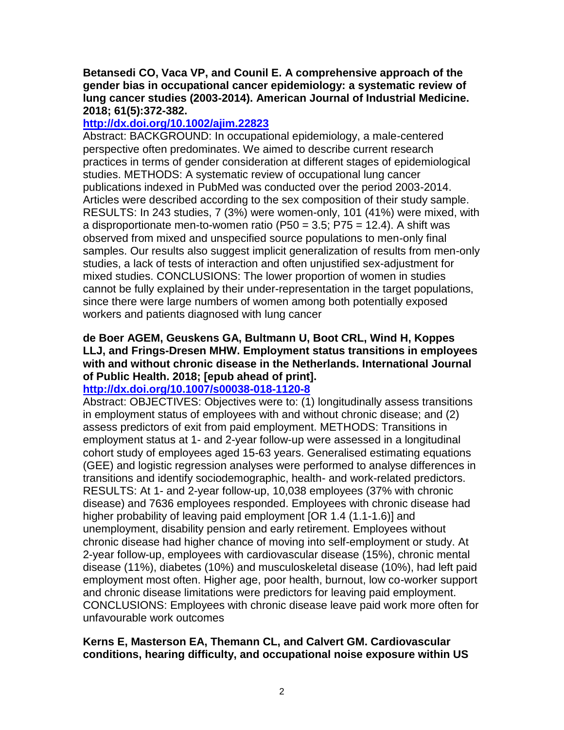## **Betansedi CO, Vaca VP, and Counil E. A comprehensive approach of the gender bias in occupational cancer epidemiology: a systematic review of lung cancer studies (2003-2014). American Journal of Industrial Medicine. 2018; 61(5):372-382.**

# **<http://dx.doi.org/10.1002/ajim.22823>**

Abstract: BACKGROUND: In occupational epidemiology, a male-centered perspective often predominates. We aimed to describe current research practices in terms of gender consideration at different stages of epidemiological studies. METHODS: A systematic review of occupational lung cancer publications indexed in PubMed was conducted over the period 2003-2014. Articles were described according to the sex composition of their study sample. RESULTS: In 243 studies, 7 (3%) were women-only, 101 (41%) were mixed, with a disproportionate men-to-women ratio (P50 =  $3.5$ ; P75 = 12.4). A shift was observed from mixed and unspecified source populations to men-only final samples. Our results also suggest implicit generalization of results from men-only studies, a lack of tests of interaction and often unjustified sex-adjustment for mixed studies. CONCLUSIONS: The lower proportion of women in studies cannot be fully explained by their under-representation in the target populations, since there were large numbers of women among both potentially exposed workers and patients diagnosed with lung cancer

# **de Boer AGEM, Geuskens GA, Bultmann U, Boot CRL, Wind H, Koppes LLJ, and Frings-Dresen MHW. Employment status transitions in employees with and without chronic disease in the Netherlands. International Journal of Public Health. 2018; [epub ahead of print].**

## **<http://dx.doi.org/10.1007/s00038-018-1120-8>**

Abstract: OBJECTIVES: Objectives were to: (1) longitudinally assess transitions in employment status of employees with and without chronic disease; and (2) assess predictors of exit from paid employment. METHODS: Transitions in employment status at 1- and 2-year follow-up were assessed in a longitudinal cohort study of employees aged 15-63 years. Generalised estimating equations (GEE) and logistic regression analyses were performed to analyse differences in transitions and identify sociodemographic, health- and work-related predictors. RESULTS: At 1- and 2-year follow-up, 10,038 employees (37% with chronic disease) and 7636 employees responded. Employees with chronic disease had higher probability of leaving paid employment [OR 1.4 (1.1-1.6)] and unemployment, disability pension and early retirement. Employees without chronic disease had higher chance of moving into self-employment or study. At 2-year follow-up, employees with cardiovascular disease (15%), chronic mental disease (11%), diabetes (10%) and musculoskeletal disease (10%), had left paid employment most often. Higher age, poor health, burnout, low co-worker support and chronic disease limitations were predictors for leaving paid employment. CONCLUSIONS: Employees with chronic disease leave paid work more often for unfavourable work outcomes

#### **Kerns E, Masterson EA, Themann CL, and Calvert GM. Cardiovascular conditions, hearing difficulty, and occupational noise exposure within US**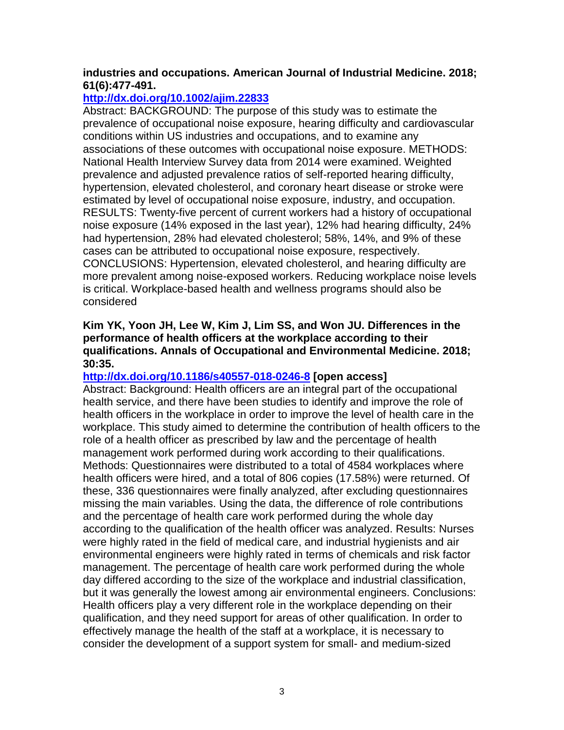## **industries and occupations. American Journal of Industrial Medicine. 2018; 61(6):477-491.**

# **<http://dx.doi.org/10.1002/ajim.22833>**

Abstract: BACKGROUND: The purpose of this study was to estimate the prevalence of occupational noise exposure, hearing difficulty and cardiovascular conditions within US industries and occupations, and to examine any associations of these outcomes with occupational noise exposure. METHODS: National Health Interview Survey data from 2014 were examined. Weighted prevalence and adjusted prevalence ratios of self-reported hearing difficulty, hypertension, elevated cholesterol, and coronary heart disease or stroke were estimated by level of occupational noise exposure, industry, and occupation. RESULTS: Twenty-five percent of current workers had a history of occupational noise exposure (14% exposed in the last year), 12% had hearing difficulty, 24% had hypertension, 28% had elevated cholesterol; 58%, 14%, and 9% of these cases can be attributed to occupational noise exposure, respectively. CONCLUSIONS: Hypertension, elevated cholesterol, and hearing difficulty are more prevalent among noise-exposed workers. Reducing workplace noise levels is critical. Workplace-based health and wellness programs should also be considered

## **Kim YK, Yoon JH, Lee W, Kim J, Lim SS, and Won JU. Differences in the performance of health officers at the workplace according to their qualifications. Annals of Occupational and Environmental Medicine. 2018; 30:35.**

## **<http://dx.doi.org/10.1186/s40557-018-0246-8> [open access]**

Abstract: Background: Health officers are an integral part of the occupational health service, and there have been studies to identify and improve the role of health officers in the workplace in order to improve the level of health care in the workplace. This study aimed to determine the contribution of health officers to the role of a health officer as prescribed by law and the percentage of health management work performed during work according to their qualifications. Methods: Questionnaires were distributed to a total of 4584 workplaces where health officers were hired, and a total of 806 copies (17.58%) were returned. Of these, 336 questionnaires were finally analyzed, after excluding questionnaires missing the main variables. Using the data, the difference of role contributions and the percentage of health care work performed during the whole day according to the qualification of the health officer was analyzed. Results: Nurses were highly rated in the field of medical care, and industrial hygienists and air environmental engineers were highly rated in terms of chemicals and risk factor management. The percentage of health care work performed during the whole day differed according to the size of the workplace and industrial classification, but it was generally the lowest among air environmental engineers. Conclusions: Health officers play a very different role in the workplace depending on their qualification, and they need support for areas of other qualification. In order to effectively manage the health of the staff at a workplace, it is necessary to consider the development of a support system for small- and medium-sized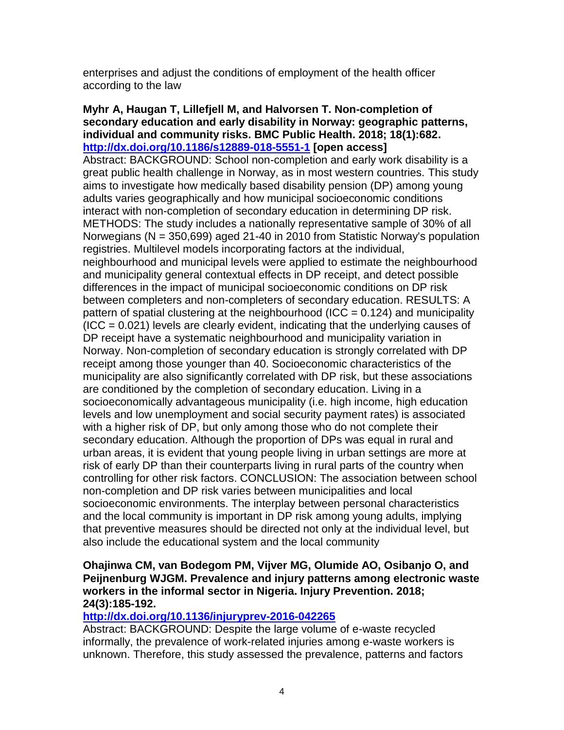enterprises and adjust the conditions of employment of the health officer according to the law

**Myhr A, Haugan T, Lillefjell M, and Halvorsen T. Non-completion of secondary education and early disability in Norway: geographic patterns, individual and community risks. BMC Public Health. 2018; 18(1):682. <http://dx.doi.org/10.1186/s12889-018-5551-1> [open access]** Abstract: BACKGROUND: School non-completion and early work disability is a great public health challenge in Norway, as in most western countries. This study aims to investigate how medically based disability pension (DP) among young adults varies geographically and how municipal socioeconomic conditions interact with non-completion of secondary education in determining DP risk. METHODS: The study includes a nationally representative sample of 30% of all Norwegians (N = 350,699) aged 21-40 in 2010 from Statistic Norway's population registries. Multilevel models incorporating factors at the individual, neighbourhood and municipal levels were applied to estimate the neighbourhood and municipality general contextual effects in DP receipt, and detect possible differences in the impact of municipal socioeconomic conditions on DP risk between completers and non-completers of secondary education. RESULTS: A pattern of spatial clustering at the neighbourhood (ICC =  $0.124$ ) and municipality  $(ICC = 0.021)$  levels are clearly evident, indicating that the underlying causes of DP receipt have a systematic neighbourhood and municipality variation in Norway. Non-completion of secondary education is strongly correlated with DP receipt among those younger than 40. Socioeconomic characteristics of the municipality are also significantly correlated with DP risk, but these associations are conditioned by the completion of secondary education. Living in a socioeconomically advantageous municipality (i.e. high income, high education levels and low unemployment and social security payment rates) is associated with a higher risk of DP, but only among those who do not complete their secondary education. Although the proportion of DPs was equal in rural and urban areas, it is evident that young people living in urban settings are more at risk of early DP than their counterparts living in rural parts of the country when controlling for other risk factors. CONCLUSION: The association between school non-completion and DP risk varies between municipalities and local socioeconomic environments. The interplay between personal characteristics and the local community is important in DP risk among young adults, implying that preventive measures should be directed not only at the individual level, but also include the educational system and the local community

# **Ohajinwa CM, van Bodegom PM, Vijver MG, Olumide AO, Osibanjo O, and Peijnenburg WJGM. Prevalence and injury patterns among electronic waste workers in the informal sector in Nigeria. Injury Prevention. 2018; 24(3):185-192.**

## **<http://dx.doi.org/10.1136/injuryprev-2016-042265>**

Abstract: BACKGROUND: Despite the large volume of e-waste recycled informally, the prevalence of work-related injuries among e-waste workers is unknown. Therefore, this study assessed the prevalence, patterns and factors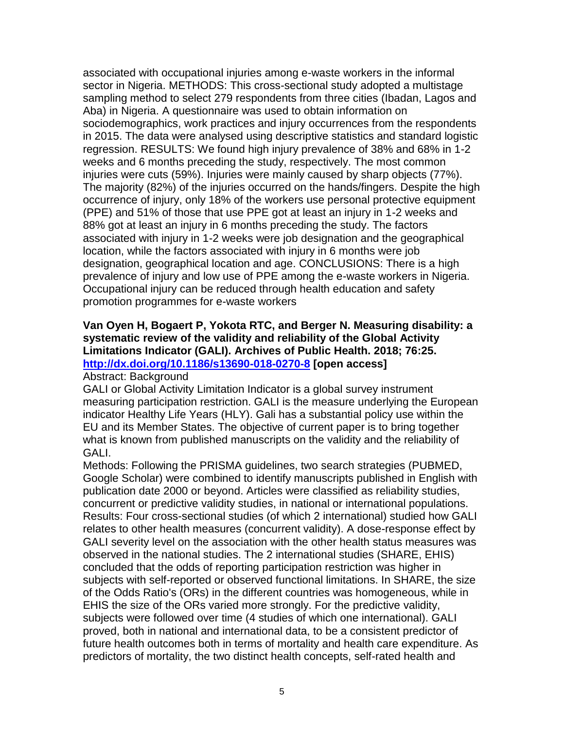associated with occupational injuries among e-waste workers in the informal sector in Nigeria. METHODS: This cross-sectional study adopted a multistage sampling method to select 279 respondents from three cities (Ibadan, Lagos and Aba) in Nigeria. A questionnaire was used to obtain information on sociodemographics, work practices and injury occurrences from the respondents in 2015. The data were analysed using descriptive statistics and standard logistic regression. RESULTS: We found high injury prevalence of 38% and 68% in 1-2 weeks and 6 months preceding the study, respectively. The most common injuries were cuts (59%). Injuries were mainly caused by sharp objects (77%). The majority (82%) of the injuries occurred on the hands/fingers. Despite the high occurrence of injury, only 18% of the workers use personal protective equipment (PPE) and 51% of those that use PPE got at least an injury in 1-2 weeks and 88% got at least an injury in 6 months preceding the study. The factors associated with injury in 1-2 weeks were job designation and the geographical location, while the factors associated with injury in 6 months were job designation, geographical location and age. CONCLUSIONS: There is a high prevalence of injury and low use of PPE among the e-waste workers in Nigeria. Occupational injury can be reduced through health education and safety promotion programmes for e-waste workers

# **Van Oyen H, Bogaert P, Yokota RTC, and Berger N. Measuring disability: a systematic review of the validity and reliability of the Global Activity Limitations Indicator (GALI). Archives of Public Health. 2018; 76:25. <http://dx.doi.org/10.1186/s13690-018-0270-8> [open access]** Abstract: Background

GALI or Global Activity Limitation Indicator is a global survey instrument measuring participation restriction. GALI is the measure underlying the European indicator Healthy Life Years (HLY). Gali has a substantial policy use within the EU and its Member States. The objective of current paper is to bring together what is known from published manuscripts on the validity and the reliability of GALI.

Methods: Following the PRISMA guidelines, two search strategies (PUBMED, Google Scholar) were combined to identify manuscripts published in English with publication date 2000 or beyond. Articles were classified as reliability studies, concurrent or predictive validity studies, in national or international populations. Results: Four cross-sectional studies (of which 2 international) studied how GALI relates to other health measures (concurrent validity). A dose-response effect by GALI severity level on the association with the other health status measures was observed in the national studies. The 2 international studies (SHARE, EHIS) concluded that the odds of reporting participation restriction was higher in subjects with self-reported or observed functional limitations. In SHARE, the size of the Odds Ratio's (ORs) in the different countries was homogeneous, while in EHIS the size of the ORs varied more strongly. For the predictive validity, subjects were followed over time (4 studies of which one international). GALI proved, both in national and international data, to be a consistent predictor of future health outcomes both in terms of mortality and health care expenditure. As predictors of mortality, the two distinct health concepts, self-rated health and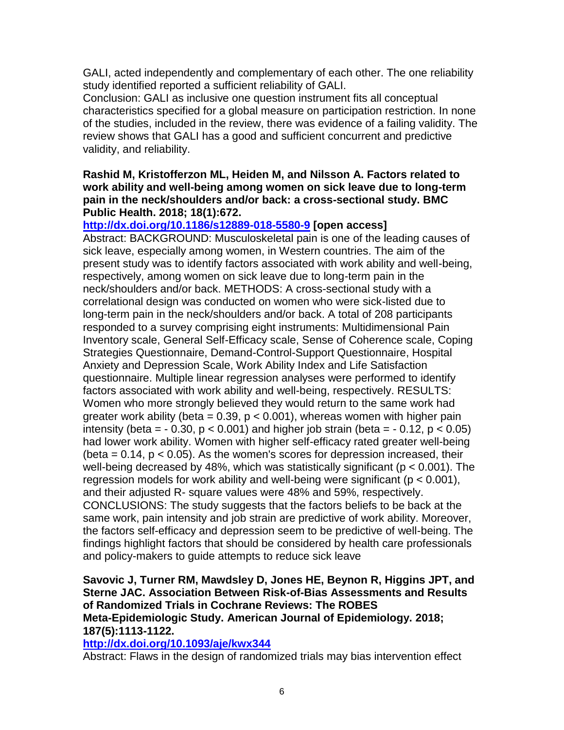GALI, acted independently and complementary of each other. The one reliability study identified reported a sufficient reliability of GALI.

Conclusion: GALI as inclusive one question instrument fits all conceptual characteristics specified for a global measure on participation restriction. In none of the studies, included in the review, there was evidence of a failing validity. The review shows that GALI has a good and sufficient concurrent and predictive validity, and reliability.

#### **Rashid M, Kristofferzon ML, Heiden M, and Nilsson A. Factors related to work ability and well-being among women on sick leave due to long-term pain in the neck/shoulders and/or back: a cross-sectional study. BMC Public Health. 2018; 18(1):672.**

**<http://dx.doi.org/10.1186/s12889-018-5580-9> [open access]**

Abstract: BACKGROUND: Musculoskeletal pain is one of the leading causes of sick leave, especially among women, in Western countries. The aim of the present study was to identify factors associated with work ability and well-being, respectively, among women on sick leave due to long-term pain in the neck/shoulders and/or back. METHODS: A cross-sectional study with a correlational design was conducted on women who were sick-listed due to long-term pain in the neck/shoulders and/or back. A total of 208 participants responded to a survey comprising eight instruments: Multidimensional Pain Inventory scale, General Self-Efficacy scale, Sense of Coherence scale, Coping Strategies Questionnaire, Demand-Control-Support Questionnaire, Hospital Anxiety and Depression Scale, Work Ability Index and Life Satisfaction questionnaire. Multiple linear regression analyses were performed to identify factors associated with work ability and well-being, respectively. RESULTS: Women who more strongly believed they would return to the same work had greater work ability (beta =  $0.39$ ,  $p < 0.001$ ), whereas women with higher pain intensity (beta =  $-0.30$ ,  $p < 0.001$ ) and higher job strain (beta =  $-0.12$ ,  $p < 0.05$ ) had lower work ability. Women with higher self-efficacy rated greater well-being (beta  $= 0.14$ ,  $p < 0.05$ ). As the women's scores for depression increased, their well-being decreased by 48%, which was statistically significant ( $p < 0.001$ ). The regression models for work ability and well-being were significant ( $p < 0.001$ ), and their adjusted R- square values were 48% and 59%, respectively. CONCLUSIONS: The study suggests that the factors beliefs to be back at the same work, pain intensity and job strain are predictive of work ability. Moreover, the factors self-efficacy and depression seem to be predictive of well-being. The findings highlight factors that should be considered by health care professionals and policy-makers to guide attempts to reduce sick leave

#### **Savovic J, Turner RM, Mawdsley D, Jones HE, Beynon R, Higgins JPT, and Sterne JAC. Association Between Risk-of-Bias Assessments and Results of Randomized Trials in Cochrane Reviews: The ROBES Meta-Epidemiologic Study. American Journal of Epidemiology. 2018; 187(5):1113-1122.**

**<http://dx.doi.org/10.1093/aje/kwx344>**

Abstract: Flaws in the design of randomized trials may bias intervention effect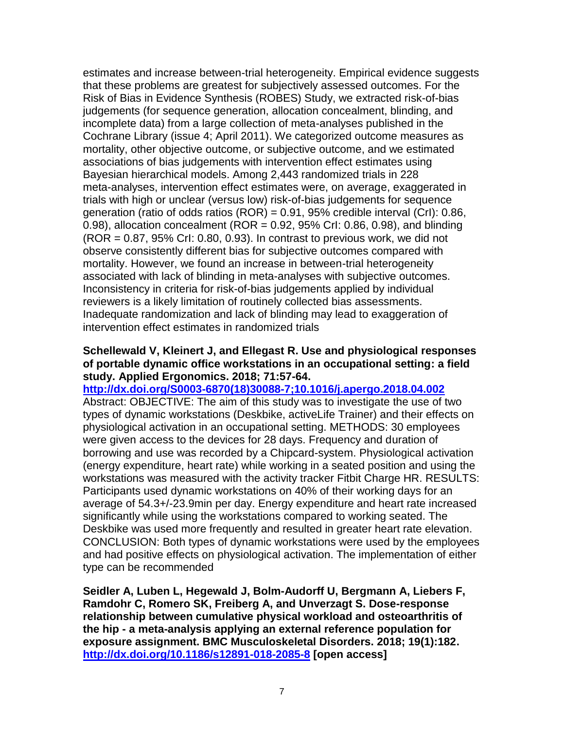estimates and increase between-trial heterogeneity. Empirical evidence suggests that these problems are greatest for subjectively assessed outcomes. For the Risk of Bias in Evidence Synthesis (ROBES) Study, we extracted risk-of-bias judgements (for sequence generation, allocation concealment, blinding, and incomplete data) from a large collection of meta-analyses published in the Cochrane Library (issue 4; April 2011). We categorized outcome measures as mortality, other objective outcome, or subjective outcome, and we estimated associations of bias judgements with intervention effect estimates using Bayesian hierarchical models. Among 2,443 randomized trials in 228 meta-analyses, intervention effect estimates were, on average, exaggerated in trials with high or unclear (versus low) risk-of-bias judgements for sequence generation (ratio of odds ratios (ROR) = 0.91, 95% credible interval (CrI): 0.86, 0.98), allocation concealment (ROR =  $0.92$ ,  $95\%$  Crl: 0.86, 0.98), and blinding  $(ROR = 0.87, 95\% \text{ Crl}: 0.80, 0.93)$ . In contrast to previous work, we did not observe consistently different bias for subjective outcomes compared with mortality. However, we found an increase in between-trial heterogeneity associated with lack of blinding in meta-analyses with subjective outcomes. Inconsistency in criteria for risk-of-bias judgements applied by individual reviewers is a likely limitation of routinely collected bias assessments. Inadequate randomization and lack of blinding may lead to exaggeration of intervention effect estimates in randomized trials

# **Schellewald V, Kleinert J, and Ellegast R. Use and physiological responses of portable dynamic office workstations in an occupational setting: a field study. Applied Ergonomics. 2018; 71:57-64.**

**[http://dx.doi.org/S0003-6870\(18\)30088-7;10.1016/j.apergo.2018.04.002](http://dx.doi.org/S0003-6870(18)30088-7;10.1016/j.apergo.2018.04.002)** Abstract: OBJECTIVE: The aim of this study was to investigate the use of two types of dynamic workstations (Deskbike, activeLife Trainer) and their effects on physiological activation in an occupational setting. METHODS: 30 employees were given access to the devices for 28 days. Frequency and duration of borrowing and use was recorded by a Chipcard-system. Physiological activation (energy expenditure, heart rate) while working in a seated position and using the workstations was measured with the activity tracker Fitbit Charge HR. RESULTS: Participants used dynamic workstations on 40% of their working days for an average of 54.3+/-23.9min per day. Energy expenditure and heart rate increased significantly while using the workstations compared to working seated. The Deskbike was used more frequently and resulted in greater heart rate elevation. CONCLUSION: Both types of dynamic workstations were used by the employees and had positive effects on physiological activation. The implementation of either type can be recommended

**Seidler A, Luben L, Hegewald J, Bolm-Audorff U, Bergmann A, Liebers F, Ramdohr C, Romero SK, Freiberg A, and Unverzagt S. Dose-response relationship between cumulative physical workload and osteoarthritis of the hip - a meta-analysis applying an external reference population for exposure assignment. BMC Musculoskeletal Disorders. 2018; 19(1):182. <http://dx.doi.org/10.1186/s12891-018-2085-8> [open access]**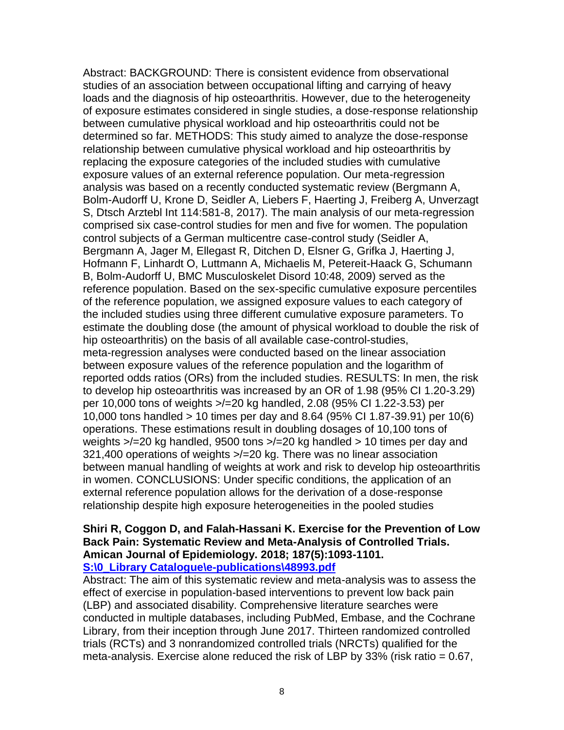Abstract: BACKGROUND: There is consistent evidence from observational studies of an association between occupational lifting and carrying of heavy loads and the diagnosis of hip osteoarthritis. However, due to the heterogeneity of exposure estimates considered in single studies, a dose-response relationship between cumulative physical workload and hip osteoarthritis could not be determined so far. METHODS: This study aimed to analyze the dose-response relationship between cumulative physical workload and hip osteoarthritis by replacing the exposure categories of the included studies with cumulative exposure values of an external reference population. Our meta-regression analysis was based on a recently conducted systematic review (Bergmann A, Bolm-Audorff U, Krone D, Seidler A, Liebers F, Haerting J, Freiberg A, Unverzagt S, Dtsch Arztebl Int 114:581-8, 2017). The main analysis of our meta-regression comprised six case-control studies for men and five for women. The population control subjects of a German multicentre case-control study (Seidler A, Bergmann A, Jager M, Ellegast R, Ditchen D, Elsner G, Grifka J, Haerting J, Hofmann F, Linhardt O, Luttmann A, Michaelis M, Petereit-Haack G, Schumann B, Bolm-Audorff U, BMC Musculoskelet Disord 10:48, 2009) served as the reference population. Based on the sex-specific cumulative exposure percentiles of the reference population, we assigned exposure values to each category of the included studies using three different cumulative exposure parameters. To estimate the doubling dose (the amount of physical workload to double the risk of hip osteoarthritis) on the basis of all available case-control-studies, meta-regression analyses were conducted based on the linear association between exposure values of the reference population and the logarithm of reported odds ratios (ORs) from the included studies. RESULTS: In men, the risk to develop hip osteoarthritis was increased by an OR of 1.98 (95% CI 1.20-3.29) per 10,000 tons of weights >/=20 kg handled, 2.08 (95% CI 1.22-3.53) per 10,000 tons handled > 10 times per day and 8.64 (95% CI 1.87-39.91) per 10(6) operations. These estimations result in doubling dosages of 10,100 tons of weights >/=20 kg handled, 9500 tons >/=20 kg handled > 10 times per day and 321,400 operations of weights >/=20 kg. There was no linear association between manual handling of weights at work and risk to develop hip osteoarthritis in women. CONCLUSIONS: Under specific conditions, the application of an external reference population allows for the derivation of a dose-response relationship despite high exposure heterogeneities in the pooled studies

#### **Shiri R, Coggon D, and Falah-Hassani K. Exercise for the Prevention of Low Back Pain: Systematic Review and Meta-Analysis of Controlled Trials. Amican Journal of Epidemiology. 2018; 187(5):1093-1101. [S:\0\\_Library Catalogue\e-publications\48993.pdf](file://iwhsrv06.iwh.on.ca/library/0_Library%20Catalogue/e-publications/48993.pdf)**

Abstract: The aim of this systematic review and meta-analysis was to assess the effect of exercise in population-based interventions to prevent low back pain (LBP) and associated disability. Comprehensive literature searches were conducted in multiple databases, including PubMed, Embase, and the Cochrane Library, from their inception through June 2017. Thirteen randomized controlled trials (RCTs) and 3 nonrandomized controlled trials (NRCTs) qualified for the meta-analysis. Exercise alone reduced the risk of LBP by 33% (risk ratio  $= 0.67$ ,